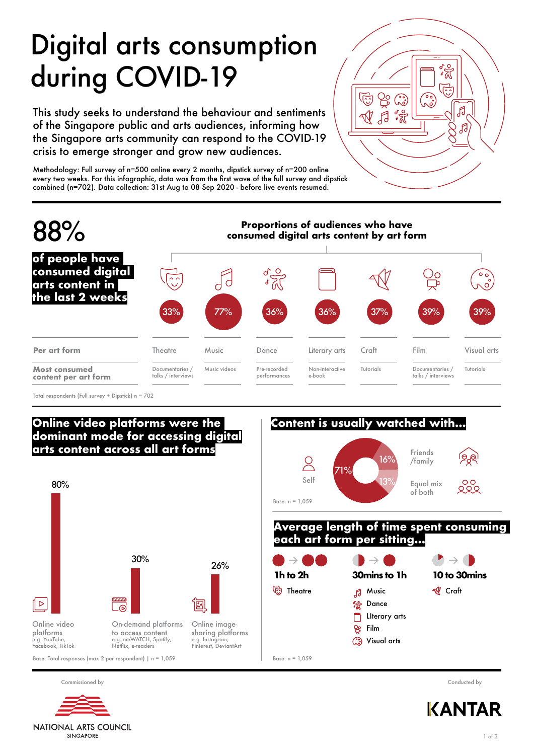# Digital arts consumption during COVID-19

This study seeks to understand the behaviour and sentiments of the Singapore public and arts audiences, informing how the Singapore arts community can respond to the COVID-19 crisis to emerge stronger and grow new audiences.

Methodology: Full survey of n=500 online every 2 months, dipstick survey of n=200 online every two weeks. For this infographic, data was from the first wave of the full survey and dipstick combined (n=702). Data collection: 31st Aug to 08 Sep 2020 - before live events resumed.





Total respondents (Full survey + Dipstick) n = 702

## **Online video platforms were the dominant mode for accessing digital arts content across all art forms**





#### **Average length of time spent consuming each art form per sitting...**





Commissioned by Conducted by



NATIONAL ARTS COUNCIL **SINGAPORE**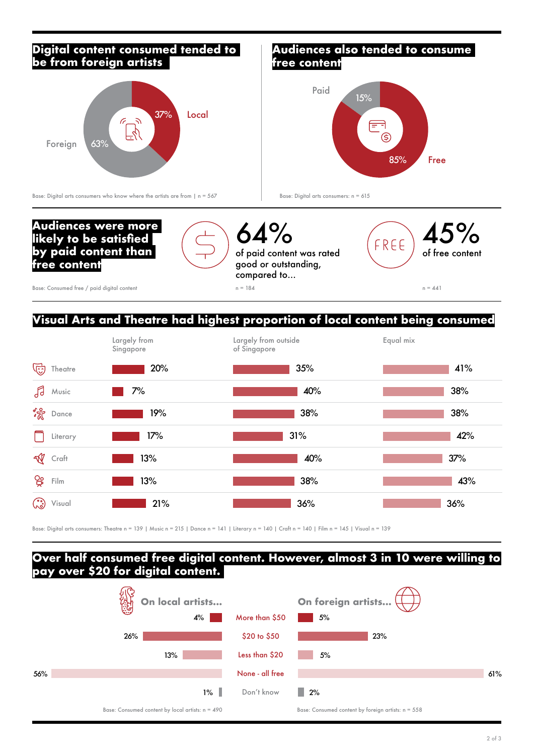### **Digital content consumed tended to be from foreign artists**



#### **Audiences also tended to consume free content**



Base: Digital arts consumers who know where the artists are from  $|n = 567$ 

Base: Digital arts consumers: n = 615



## **Visual Arts and Theatre had highest proportion of local content being consumed**



Base: Digital arts consumers: Theatre n = 139 | Music n = 215 | Dance n = 141 | Literary n = 140 | Craft n = 140 | Film n = 145 | Visual n = 139

#### **Over half consumed free digital content. However, almost 3 in 10 were willing to pay over \$20 for digital content.**